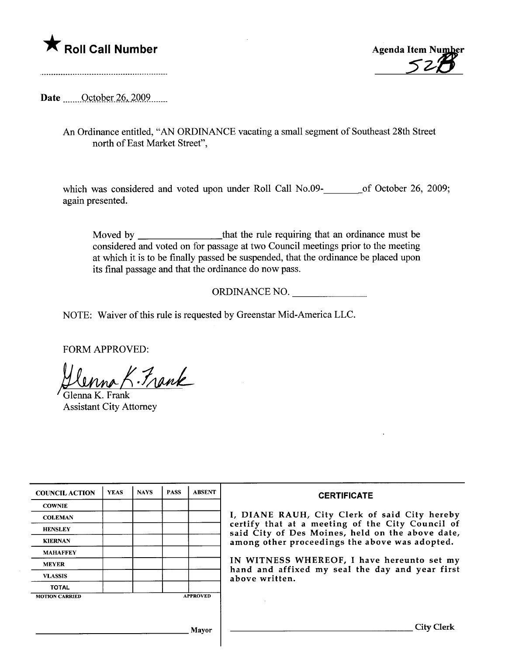



Date <u>October 26</u>, 2009

An Ordinance entitled, "AN ORDINANCE vacating a small segment of Southeast 28th Street north of East Market Street",

which was considered and voted upon under Roll Call No.09-\_\_\_\_\_\_\_\_\_\_of October 26, 2009; again presented.

Moved by that the rule requiring that an ordinance must be considered and voted on for passage at two Council meetings prior to the meeting at which it is to be finally passed be suspended, that the ordinance be placed upon its final passage and that the ordinance do now pass.

ORDINANCE NO.

NOTE: Waiver of this rule is requested by Greenstar Mid-America LLC.

FORM APPROVED:

<u>Hlunna K. Frank</u>

Assistant City Attorney

| <b>COUNCIL ACTION</b> | <b>YEAS</b> | <b>NAYS</b> | <b>PASS</b> | <b>ABSENT</b>   | <b>CERTIFICATE</b>                                                                                                                                                                                                                                                                                                         |
|-----------------------|-------------|-------------|-------------|-----------------|----------------------------------------------------------------------------------------------------------------------------------------------------------------------------------------------------------------------------------------------------------------------------------------------------------------------------|
| <b>COWNIE</b>         |             |             |             |                 | I, DIANE RAUH, City Clerk of said City hereby<br>certify that at a meeting of the City Council of<br>said City of Des Moines, held on the above date,<br>among other proceedings the above was adopted.<br>IN WITNESS WHEREOF, I have hereunto set my<br>hand and affixed my seal the day and year first<br>above written. |
| <b>COLEMAN</b>        |             |             |             |                 |                                                                                                                                                                                                                                                                                                                            |
| <b>HENSLEY</b>        |             |             |             |                 |                                                                                                                                                                                                                                                                                                                            |
| <b>KIERNAN</b>        |             |             |             |                 |                                                                                                                                                                                                                                                                                                                            |
| <b>MAHAFFEY</b>       |             |             |             |                 |                                                                                                                                                                                                                                                                                                                            |
| <b>MEYER</b>          |             |             |             |                 |                                                                                                                                                                                                                                                                                                                            |
| <b>VLASSIS</b>        |             |             |             |                 |                                                                                                                                                                                                                                                                                                                            |
| <b>TOTAL</b>          |             |             |             |                 |                                                                                                                                                                                                                                                                                                                            |
| <b>MOTION CARRIED</b> |             |             |             | <b>APPROVED</b> |                                                                                                                                                                                                                                                                                                                            |
|                       |             |             |             |                 |                                                                                                                                                                                                                                                                                                                            |
| Mavor                 |             |             |             |                 | City C                                                                                                                                                                                                                                                                                                                     |